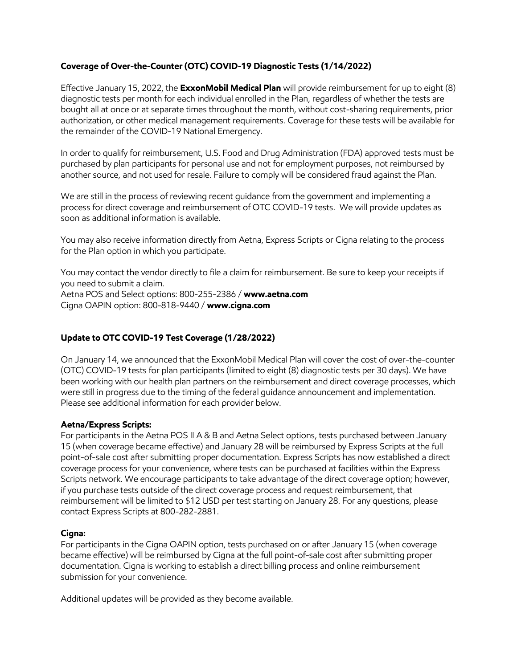### **Coverage of Over-the-Counter (OTC) COVID-19 Diagnostic Tests (1/14/2022)**

Effective January 15, 2022, the **ExxonMobil Medical Plan** will provide reimbursement for up to eight (8) diagnostic tests per month for each individual enrolled in the Plan, regardless of whether the tests are bought all at once or at separate times throughout the month, without cost-sharing requirements, prior authorization, or other medical management requirements. Coverage for these tests will be available for the remainder of the COVID-19 National Emergency.

In order to qualify for reimbursement, U.S. Food and Drug Administration (FDA) approved tests must be purchased by plan participants for personal use and not for employment purposes, not reimbursed by another source, and not used for resale. Failure to comply will be considered fraud against the Plan.

We are still in the process of reviewing recent guidance from the government and implementing a process for direct coverage and reimbursement of OTC COVID-19 tests. We will provide updates as soon as additional information is available.

You may also receive information directly from Aetna, Express Scripts or Cigna relating to the process for the Plan option in which you participate.

You may contact the vendor directly to file a claim for reimbursement. Be sure to keep your receipts if you need to submit a claim. Aetna POS and Select options: 800-255-2386 / **[www.aetna.com](http://www.aetna.com/)**

Cigna OAPIN option: 800-818-9440 / **www.cigna.com**

### **Update to OTC COVID-19 Test Coverage (1/28/2022)**

On January 14, we announced that the ExxonMobil Medical Plan will cover the cost of over-the-counter (OTC) COVID-19 tests for plan participants (limited to eight (8) diagnostic tests per 30 days). We have been working with our health plan partners on the reimbursement and direct coverage processes, which were still in progress due to the timing of the federal guidance announcement and implementation. Please see additional information for each provider below.

#### **Aetna/Express Scripts:**

For participants in the Aetna POS II A & B and Aetna Select options, tests purchased between January 15 (when coverage became effective) and January 28 will be reimbursed by Express Scripts at the full point-of-sale cost after submitting proper documentation. Express Scripts has now established a direct coverage process for your convenience, where tests can be purchased at facilities within the Express Scripts network. We encourage participants to take advantage of the direct coverage option; however, if you purchase tests outside of the direct coverage process and request reimbursement, that reimbursement will be limited to \$12 USD per test starting on January 28. For any questions, please contact Express Scripts at 800-282-2881.

#### **Cigna:**

For participants in the Cigna OAPIN option, tests purchased on or after January 15 (when coverage became effective) will be reimbursed by Cigna at the full point-of-sale cost after submitting proper documentation. Cigna is working to establish a direct billing process and online reimbursement submission for your convenience.

Additional updates will be provided as they become available.